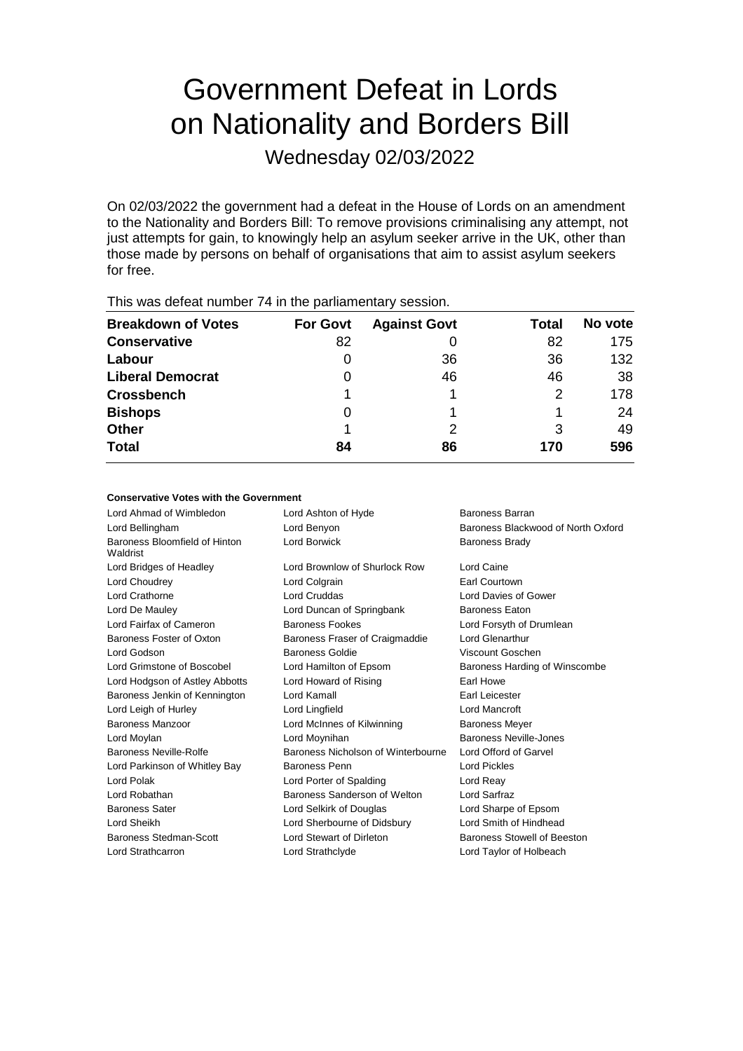# Government Defeat in Lords on Nationality and Borders Bill

Wednesday 02/03/2022

On 02/03/2022 the government had a defeat in the House of Lords on an amendment to the Nationality and Borders Bill: To remove provisions criminalising any attempt, not just attempts for gain, to knowingly help an asylum seeker arrive in the UK, other than those made by persons on behalf of organisations that aim to assist asylum seekers for free.

| $1.110$ $1.000$ and $0.011$ and $0.110$ and $0.111$ and $0.011$ and $0.011$ and $0.000$ and $0.011$ |                 |                     |       |         |  |
|-----------------------------------------------------------------------------------------------------|-----------------|---------------------|-------|---------|--|
| <b>Breakdown of Votes</b>                                                                           | <b>For Govt</b> | <b>Against Govt</b> | Total | No vote |  |
| <b>Conservative</b>                                                                                 | 82              |                     | 82    | 175     |  |
| Labour                                                                                              | O               | 36                  | 36    | 132     |  |
| <b>Liberal Democrat</b>                                                                             | 0               | 46                  | 46    | 38      |  |
| <b>Crossbench</b>                                                                                   |                 |                     | 2     | 178     |  |
| <b>Bishops</b>                                                                                      | 0               |                     |       | 24      |  |
| <b>Other</b>                                                                                        |                 |                     | 3     | 49      |  |
| <b>Total</b>                                                                                        | 84              | 86                  | 170   | 596     |  |
|                                                                                                     |                 |                     |       |         |  |

This was defeat number 74 in the parliamentary session.

# **Conservative Votes with the Government**

| Lord Ahmad of Wimbledon                   | Lord Ashton of Hyde                | Baroness Barran                    |
|-------------------------------------------|------------------------------------|------------------------------------|
| Lord Bellingham                           | Lord Benyon                        | Baroness Blackwood of North Oxford |
| Baroness Bloomfield of Hinton<br>Waldrist | Lord Borwick                       | Baroness Brady                     |
| Lord Bridges of Headley                   | Lord Brownlow of Shurlock Row      | Lord Caine                         |
| Lord Choudrey                             | Lord Colgrain                      | Earl Courtown                      |
| Lord Crathorne                            | <b>Lord Cruddas</b>                | Lord Davies of Gower               |
| Lord De Mauley                            | Lord Duncan of Springbank          | <b>Baroness Eaton</b>              |
| Lord Fairfax of Cameron                   | <b>Baroness Fookes</b>             | Lord Forsyth of Drumlean           |
| Baroness Foster of Oxton                  | Baroness Fraser of Craigmaddie     | Lord Glenarthur                    |
| Lord Godson                               | Baroness Goldie                    | Viscount Goschen                   |
| Lord Grimstone of Boscobel                | Lord Hamilton of Epsom             | Baroness Harding of Winscombe      |
| Lord Hodgson of Astley Abbotts            | Lord Howard of Rising              | Earl Howe                          |
| Baroness Jenkin of Kennington             | Lord Kamall                        | Earl Leicester                     |
| Lord Leigh of Hurley                      | Lord Lingfield                     | Lord Mancroft                      |
| Baroness Manzoor                          | Lord McInnes of Kilwinning         | <b>Baroness Meyer</b>              |
| Lord Moylan                               | Lord Moynihan                      | Baroness Neville-Jones             |
| Baroness Neville-Rolfe                    | Baroness Nicholson of Winterbourne | Lord Offord of Garvel              |
| Lord Parkinson of Whitley Bay             | Baroness Penn                      | <b>Lord Pickles</b>                |
| Lord Polak                                | Lord Porter of Spalding            | Lord Reay                          |
| Lord Robathan                             | Baroness Sanderson of Welton       | Lord Sarfraz                       |
| <b>Baroness Sater</b>                     | Lord Selkirk of Douglas            | Lord Sharpe of Epsom               |
| Lord Sheikh                               | Lord Sherbourne of Didsbury        | Lord Smith of Hindhead             |
| Baroness Stedman-Scott                    | Lord Stewart of Dirleton           | Baroness Stowell of Beeston        |
| Lord Strathcarron                         | Lord Strathclyde                   | Lord Taylor of Holbeach            |
|                                           |                                    |                                    |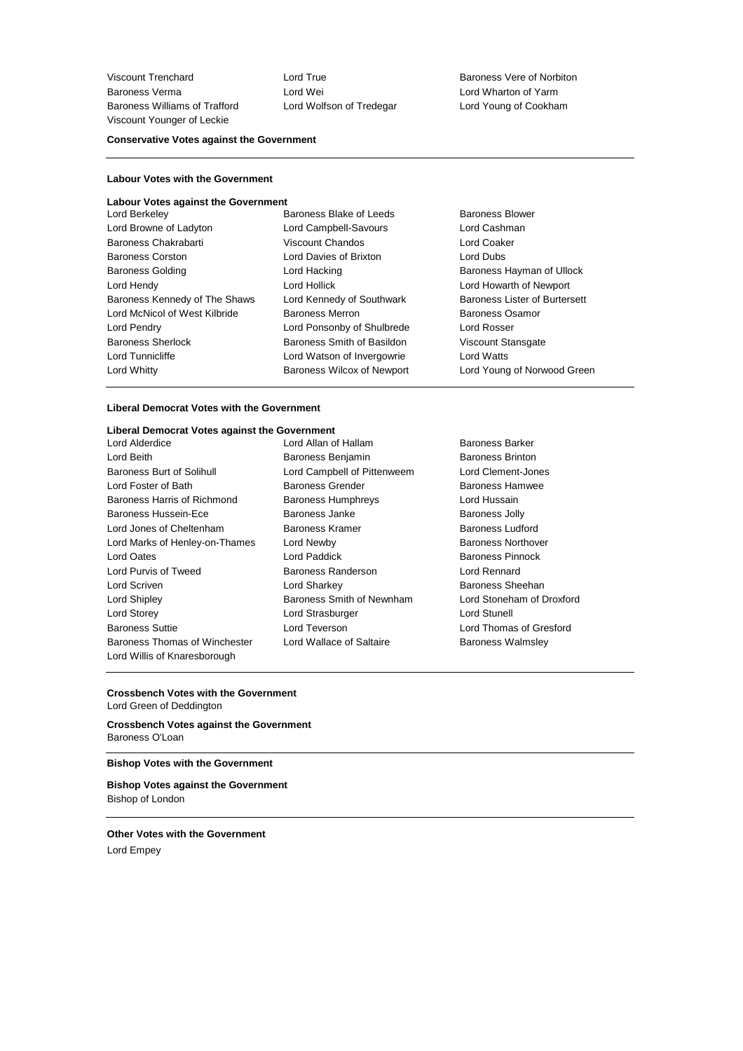Viscount Trenchard **Lord True** Lord True **Baroness Vere of Norbiton** Baroness Verma **Lord Wei** Lord Wei Lord Corport Corporation of Yarm<br>Baroness Williams of Trafford Lord Wolfson of Tredegar Lord Young of Cookham Baroness Williams of Trafford Viscount Younger of Leckie

#### **Conservative Votes against the Government**

# **Labour Votes with the Government**

| <b>Labour Votes against the Government</b> |                                   |                               |
|--------------------------------------------|-----------------------------------|-------------------------------|
| Lord Berkeley                              | Baroness Blake of Leeds           | Baroness Blower               |
| Lord Browne of Ladyton                     | Lord Campbell-Savours             | Lord Cashman                  |
| Baroness Chakrabarti                       | Viscount Chandos                  | Lord Coaker                   |
| <b>Baroness Corston</b>                    | Lord Davies of Brixton            | Lord Dubs                     |
| <b>Baroness Golding</b>                    | Lord Hacking                      | Baroness Hayman of Ullock     |
| Lord Hendy                                 | Lord Hollick                      | Lord Howarth of Newport       |
| Baroness Kennedy of The Shaws              | Lord Kennedy of Southwark         | Baroness Lister of Burtersett |
| Lord McNicol of West Kilbride              | <b>Baroness Merron</b>            | Baroness Osamor               |
| Lord Pendry                                | Lord Ponsonby of Shulbrede        | Lord Rosser                   |
| <b>Baroness Sherlock</b>                   | Baroness Smith of Basildon        | Viscount Stansgate            |
| Lord Tunnicliffe                           | Lord Watson of Invergowrie        | <b>Lord Watts</b>             |
| Lord Whitty                                | <b>Baroness Wilcox of Newport</b> | Lord Young of Norwood Green   |
|                                            |                                   |                               |

#### **Liberal Democrat Votes with the Government**

# **Liberal Democrat Votes against the Government**

Lord Beith **Baroness Benjamin** Baroness Benjamin Baroness Brinton Baroness Burt of Solihull Lord Campbell of Pittenweem Lord Clement-Jones Lord Foster of Bath **Baroness Grender** Baroness Hamwee Baroness Harris of Richmond Baroness Humphreys Lord Hussain Baroness Hussein-Ece **Baroness Janke** Baroness Janke Baroness Jolly Lord Jones of Cheltenham Baroness Kramer Baroness Ludford Lord Marks of Henley-on-Thames Lord Newby **Baroness Northover** Baroness Northover Lord Oates **Lord Paddick** Baroness Pinnock Lord Purvis of Tweed Baroness Randerson Lord Rennard Lord Scriven Lord Sharkey Baroness Sheehan Lord Shipley Baroness Smith of Newnham Lord Stoneham of Droxford Lord Storey **Lord Strasburger** Lord Strasburger **Lord Stunell** Baroness Suttie Lord Teverson Lord Thomas of Gresford Baroness Thomas of Winchester Lord Wallace of Saltaire **Baroness Walmsley** Lord Willis of Knaresborough

- 
- Lord Allan of Hallam Baroness Barker

## **Crossbench Votes with the Government**

Lord Green of Deddington

**Crossbench Votes against the Government** Baroness O'Loan

# **Bishop Votes with the Government**

**Bishop Votes against the Government** Bishop of London

**Other Votes with the Government** Lord Empey